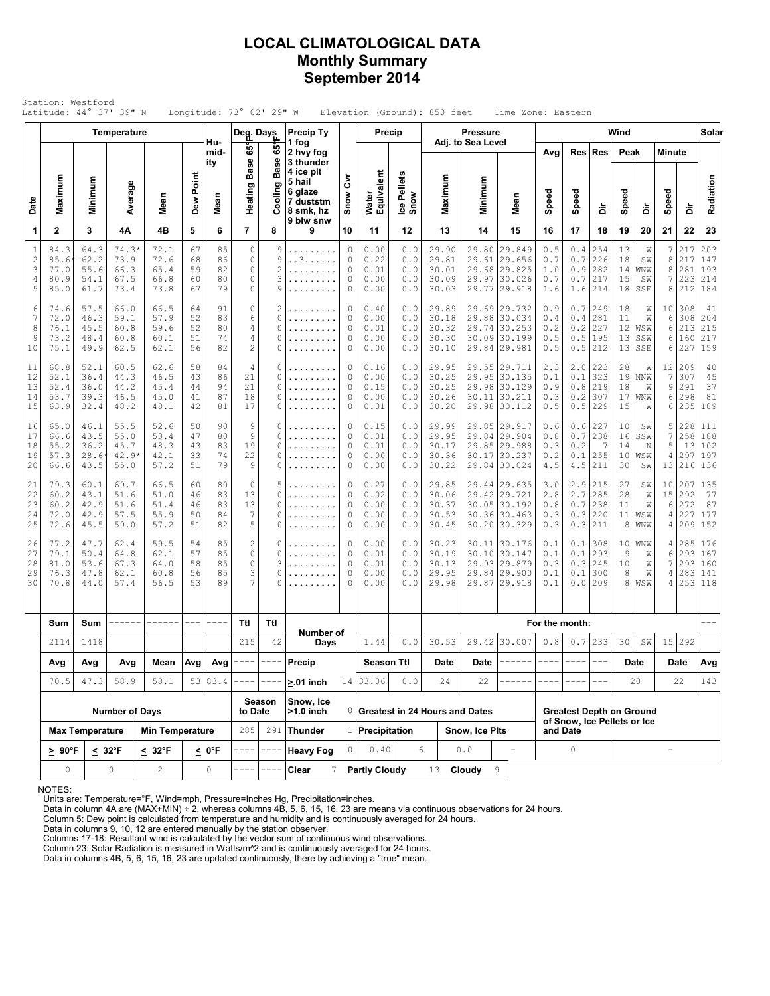### **LOCAL CLIMATOLOGICAL DATA Monthly Summary September 2014**

|                                           | Station: Westford<br>Latitude: 44° 37' 39" N |                                                |                                         |                                      |                            |                            | Longitude: $73^\circ$ 02' 29" W                                       |                                    |                                                                                             |                       |                                      |                                 | Elevation (Ground): 850 feet              |                                  | Time Zone: Eastern                                               |                                 |                                 |                                 |                            |                                  |                                       |                                    |                                     |
|-------------------------------------------|----------------------------------------------|------------------------------------------------|-----------------------------------------|--------------------------------------|----------------------------|----------------------------|-----------------------------------------------------------------------|------------------------------------|---------------------------------------------------------------------------------------------|-----------------------|--------------------------------------|---------------------------------|-------------------------------------------|----------------------------------|------------------------------------------------------------------|---------------------------------|---------------------------------|---------------------------------|----------------------------|----------------------------------|---------------------------------------|------------------------------------|-------------------------------------|
|                                           |                                              |                                                | Temperature                             |                                      |                            |                            | Deg. Days                                                             |                                    | <b>Precip Ty</b>                                                                            |                       | Precip                               |                                 |                                           | <b>Pressure</b>                  |                                                                  |                                 |                                 |                                 | Wind                       |                                  |                                       |                                    | Solar                               |
| Date                                      | Maximum                                      | Minimum                                        | Average                                 | Mean                                 | Dew Point                  | Hu-<br>mid-<br>ity<br>Mean | ဖိ<br><b>Base</b><br>Heating                                          | ဖိ<br><b>Base</b><br>Cooling       | 1 fog<br>2 hvy fog<br>3 thunder<br>4 ice plt<br>5 hail<br>6 glaze<br>7 duststm<br>8 smk, hz | ξ<br>Snow             | Water<br>Equivalent                  | Ice Pellets<br>Snow             | Maximum                                   | Adj. to Sea Level<br>Minimum     | Mean                                                             | Avg<br>Speed                    | Speed                           | Res Res<br>å                    | Peak<br>Speed              | à                                | Minute<br>Speed                       | à                                  | Radiation                           |
| 1                                         | $\overline{2}$                               | 3                                              | 4Α                                      | 4B                                   | 5                          | 6                          | $\overline{7}$                                                        | 8                                  | 9 blw snw<br>9                                                                              | 10                    | 11                                   | 12                              | 13                                        | 14                               | 15                                                               | 16                              | 17                              | 18                              | 19                         | 20                               | 21                                    | 22                                 | 23                                  |
| $\mathbf{1}$<br>$\sqrt{2}$<br>3<br>4<br>5 | 84.3<br>85.6<br>77.0<br>80.9<br>85.0         | 64.3<br>62.2<br>55.6<br>54.1<br>61.7           | $74.3*$<br>73.9<br>66.3<br>67.5<br>73.4 | 72.1<br>72.6<br>65.4<br>66.8<br>73.8 | 67<br>68<br>59<br>60<br>67 | 85<br>86<br>82<br>80<br>79 | $\circ$<br>$\mathbf{0}$<br>$\mathbb O$<br>$\mathbb O$<br>$\mathbf{0}$ | 9<br>9<br>$\overline{c}$<br>3<br>9 | .<br>. . 3<br>.                                                                             | 0<br>0<br>0<br>0<br>0 | 0.00<br>0.22<br>0.01<br>0.00<br>0.00 | 0.0<br>0.0<br>0.0<br>0.0<br>0.0 | 29.90<br>29.81<br>30.01<br>30.09<br>30.03 | 29.80<br>29.61<br>29.97<br>29.77 | 29.849<br>29.656<br>29.68 29.825<br>30.026<br>29.918             | 0.5<br>0.7<br>1.0<br>0.7<br>1.6 | 0.4<br>0.7<br>0.9<br>0.7<br>1.6 | 254<br>226<br>282<br>217<br>214 | 13<br>18<br>14<br>15<br>18 | W<br>SW<br>WNW<br>SW<br>SSE      | 7<br>8<br>8<br>7<br>8                 | 217<br>217<br>281<br>223<br>212    | 203<br>147<br>193<br>214<br>184     |
| 6<br>7<br>8<br>9<br>10                    | 74.6<br>72.0<br>76.1<br>73.2<br>75.1         | 57.5<br>46.3<br>45.5<br>48.4<br>49.9           | 66.0<br>59.1<br>60.8<br>60.8<br>62.5    | 66.5<br>57.9<br>59.6<br>60.1<br>62.1 | 64<br>52<br>52<br>51<br>56 | 91<br>83<br>80<br>74<br>82 | $\circ$<br>6<br>$\sqrt{4}$<br>4<br>$\sqrt{2}$                         | 2<br>0<br>0<br>0<br>0              | .<br>.                                                                                      | 0<br>0<br>0<br>0<br>0 | 0.40<br>0.00<br>0.01<br>0.00<br>0.00 | 0.0<br>0.0<br>0.0<br>0.0<br>0.0 | 29.89<br>30.18<br>30.32<br>30.30<br>30.10 | 29.88<br>29.74<br>30.09          | 29.69 29.732<br>30.034<br>30.253<br>30.199<br>29.84 29.981       | 0.9<br>0.4<br>0.2<br>0.5<br>0.5 | 0.7<br>0.4<br>0.2<br>0.5<br>0.5 | 249<br>281<br>227<br>195<br>212 | 18<br>11<br>12<br>13<br>13 | W<br>W<br>WSW<br>SSW<br>SSE      | 6<br>6<br>6<br>6                      | 10 308<br>308<br>213<br>160<br>227 | 41<br>204<br>215<br>217<br>159      |
| 11<br>12<br>13<br>14<br>15                | 68.8<br>52.1<br>52.4<br>53.7<br>63.9         | 52.1<br>36.4<br>36.0<br>39.3<br>32.4           | 60.5<br>44.3<br>44.2<br>46.5<br>48.2    | 62.6<br>46.5<br>45.4<br>45.0<br>48.1 | 58<br>43<br>44<br>41<br>42 | 84<br>86<br>94<br>87<br>81 | 4<br>21<br>21<br>18<br>17                                             | 0<br>0<br>0<br>0<br>0              | .<br>.<br>.                                                                                 | 0<br>0<br>0<br>0<br>0 | 0.16<br>0.00<br>0.15<br>0.00<br>0.01 | 0.0<br>0.0<br>0.0<br>0.0<br>0.0 | 29.95<br>30.25<br>30.25<br>30.26<br>30.20 | 29.98<br>30.11<br>29.98          | 29.55 29.711<br>29.95 30.135<br>30.129<br>30.211<br> 30.112      | 2.3<br>0.1<br>0.9<br>0.3<br>0.5 | 2.0<br>0.1<br>0.8<br>0.2<br>0.5 | 223<br>323<br>219<br>307<br>229 | 28<br>19<br>18<br>17<br>15 | W<br>NNW<br>W<br>WNW<br>W        | 12<br>$\overline{7}$<br>9<br>6<br>6   | 209<br>307<br>291<br>298<br>235    | 40<br>45<br>37<br>81<br>189         |
| 16<br>17<br>18<br>19<br>20                | 65.0<br>66.6<br>55.2<br>57.3<br>66.6         | 46.1<br>43.5<br>36.2<br>$28.6^{\circ}$<br>43.5 | 55.5<br>55.0<br>45.7<br>42.9*<br>55.0   | 52.6<br>53.4<br>48.3<br>42.1<br>57.2 | 50<br>47<br>43<br>33<br>51 | 90<br>80<br>83<br>74<br>79 | 9<br>9<br>19<br>22<br>9                                               | 0<br>0<br>0<br>0<br>0              | .<br>.<br>.                                                                                 | 0<br>0<br>0<br>0<br>0 | 0.15<br>0.01<br>0.01<br>0.00<br>0.00 | 0.0<br>0.0<br>0.0<br>0.0<br>0.0 | 29.99<br>29.95<br>30.17<br>30.36<br>30.22 | 29.84<br>30.17<br>29.84          | 29.85 29.917<br>29.904<br>29.85 29.988<br>30.237<br> 30.024      | 0.6<br>0.8<br>0.3<br>0.2<br>4.5 | 0.6<br>0.7<br>0.2<br>0.1<br>4.5 | 227<br>238<br>7<br>255<br>211   | 10<br>16<br>14<br>10<br>30 | SW<br>SSW<br>N<br>WSW<br>SW      | 5<br>$\boldsymbol{7}$<br>5<br>4<br>13 | 228<br>258<br>13<br>297<br>216     | 111<br>188<br>102<br>197<br>136     |
| 21<br>22<br>23<br>24<br>25                | 79.3<br>60.2<br>60.2<br>72.0<br>72.6         | 60.1<br>43.1<br>42.9<br>42.9<br>45.5           | 69.7<br>51.6<br>51.6<br>57.5<br>59.0    | 66.5<br>51.0<br>51.4<br>55.9<br>57.2 | 60<br>46<br>46<br>50<br>51 | 80<br>83<br>83<br>84<br>82 | $\mathbf 0$<br>13<br>13<br>$\overline{7}$<br>5                        | 5<br>0<br>0<br>0<br>0              | .<br>.                                                                                      | 0<br>0<br>0<br>0<br>0 | 0.27<br>0.02<br>0.00<br>0.00<br>0.00 | 0.0<br>0.0<br>0.0<br>0.0<br>0.0 | 29.85<br>30.06<br>30.37<br>30.53<br>30.45 | 29.44<br>29.42                   | 29.635<br>29.721<br>30.05 30.192<br>30.36 30.463<br>30.20 30.329 | 3.0<br>2.8<br>0.8<br>0.3<br>0.3 | 2.9<br>2.7<br>0.7<br>0.3<br>0.3 | 215<br>285<br>238<br>220<br>211 | 27<br>28<br>11<br>11<br>8  | SW<br>W<br>W<br>WSW<br>WNW       | 10<br>15<br>6<br>4<br>4               | 207<br>292<br>272<br>227<br>209    | 135<br>77<br>87<br>177<br>152       |
| 26<br>27<br>28<br>29<br>30                | 77.2<br>79.1<br>81.0<br>76.3<br>70.8         | 47.7<br>50.4<br>53.6<br>47.8<br>44.0           | 62.4<br>64.8<br>67.3<br>62.1<br>57.4    | 59.5<br>62.1<br>64.0<br>60.8<br>56.5 | 54<br>57<br>58<br>56<br>53 | 85<br>85<br>85<br>85<br>89 | $\overline{c}$<br>$\mathbf{0}$<br>$\circ$<br>3<br>7                   | 0<br>0<br>3<br>0<br>0              | .<br>.                                                                                      | 0<br>0<br>0<br>0<br>0 | 0.00<br>0.01<br>0.01<br>0.00<br>0.00 | 0.0<br>0.0<br>0.0<br>0.0<br>0.0 | 30.23<br>30.19<br>30.13<br>29.95<br>29.98 | 30.10<br>29.84<br>29.87          | 30.11 30.176<br> 30.147<br>29.93 29.879<br> 29.900<br>29.918     | 0.1<br>0.1<br>0.3<br>0.1<br>0.1 | 0.1<br>0.1<br>0.3<br>0.1<br>0.0 | 308<br>293<br>245<br>300<br>209 | 10<br>9<br>10<br>8<br>8    | <b>WNW</b><br>W<br>W<br>W<br>WSW | 4<br>6<br>$\overline{7}$<br>4<br>4    | 285<br>293<br>293<br>283           | 176<br>167<br>160<br>141<br>253 118 |
|                                           | Sum                                          | Sum                                            |                                         | -------                              | $\frac{1}{2}$              | ----                       | Ttl                                                                   | Ttl                                |                                                                                             |                       |                                      |                                 |                                           |                                  |                                                                  | For the month:                  |                                 |                                 |                            |                                  |                                       |                                    |                                     |
|                                           | 2114                                         | 1418                                           |                                         |                                      |                            |                            | 215                                                                   | 42                                 | Number of<br>Days                                                                           |                       | 1.44                                 | $0.0$                           | 30.53                                     |                                  | 29.42 30.007                                                     | 0.8                             |                                 | $0.7$ 233                       | 30                         | SW                               |                                       | 15 292                             |                                     |
|                                           | Avg                                          | Avg                                            | Avg                                     | Mean                                 | Avg                        | Avg                        |                                                                       |                                    | Precip                                                                                      |                       | Season Ttl                           |                                 | Date                                      | Date                             |                                                                  |                                 |                                 |                                 |                            | Date                             |                                       | Date                               | Avg                                 |
|                                           | 70.5                                         | 47.3                                           | 58.9                                    | 58.1                                 |                            | 53 83.4                    |                                                                       |                                    | $> 01$ inch                                                                                 |                       | 14 33.06                             | $0.0$                           | 24                                        | 22                               |                                                                  |                                 |                                 |                                 |                            | 20                               |                                       | 22                                 | 143                                 |
|                                           |                                              |                                                | <b>Number of Days</b>                   |                                      |                            |                            | to Date                                                               | Season                             | Snow, Ice<br>$\geq 1.0$ inch                                                                |                       |                                      |                                 | 0 Greatest in 24 Hours and Dates          |                                  |                                                                  |                                 |                                 | <b>Greatest Depth on Ground</b> |                            |                                  |                                       |                                    |                                     |
|                                           |                                              | <b>Max Temperature</b>                         |                                         | <b>Min Temperature</b>               |                            |                            | 285                                                                   |                                    | $291$ Thunder                                                                               |                       | $1$ Precipitation                    |                                 |                                           | Snow, Ice Plts                   |                                                                  |                                 | and Date                        | of Snow, Ice Pellets or Ice     |                            |                                  |                                       |                                    |                                     |
|                                           | $\geq 90^{\circ}F$                           |                                                | $< 32^{\circ}F$                         | $\leq 32^{\circ}$ F                  |                            | $\leq 0$ °F                | ----                                                                  |                                    | <b>Heavy Fog</b>                                                                            | 0                     | 0.40                                 |                                 | 6                                         | 0.0                              | $\overline{\phantom{a}}$                                         |                                 | $\circ$                         |                                 |                            |                                  | $\overline{\phantom{a}}$              |                                    |                                     |
|                                           | 0                                            |                                                | 0                                       | $\overline{2}$<br>0                  |                            |                            |                                                                       |                                    | Clear<br>7                                                                                  |                       | <b>Partly Cloudy</b>                 |                                 | 13 <sup>7</sup>                           | Cloudy                           | 9                                                                |                                 |                                 |                                 |                            |                                  |                                       |                                    |                                     |

NOTES:

Units are: Temperature=°F, Wind=mph, Pressure=Inches Hg, Precipitation=inches. Data in column 4A are (MAX+MIN) ÷ 2, whereas columns 4B, 5, 6, 15, 16, 23 are means via continuous observations for 24 hours.

Column 5: Dew point is calculated from temperature and humidity and is continuously averaged for 24 hours. Data in columns 9, 10, 12 are entered manually by the station observer.

Columns 17-18: Resultant wind is calculated by the vector sum of continuous wind observations.<br>Column 23: Solar Radiation is measured in Watts/m^2 and is continuously averaged for 24 hours.<br>Data in columns 4B, 5, 6, 15, 16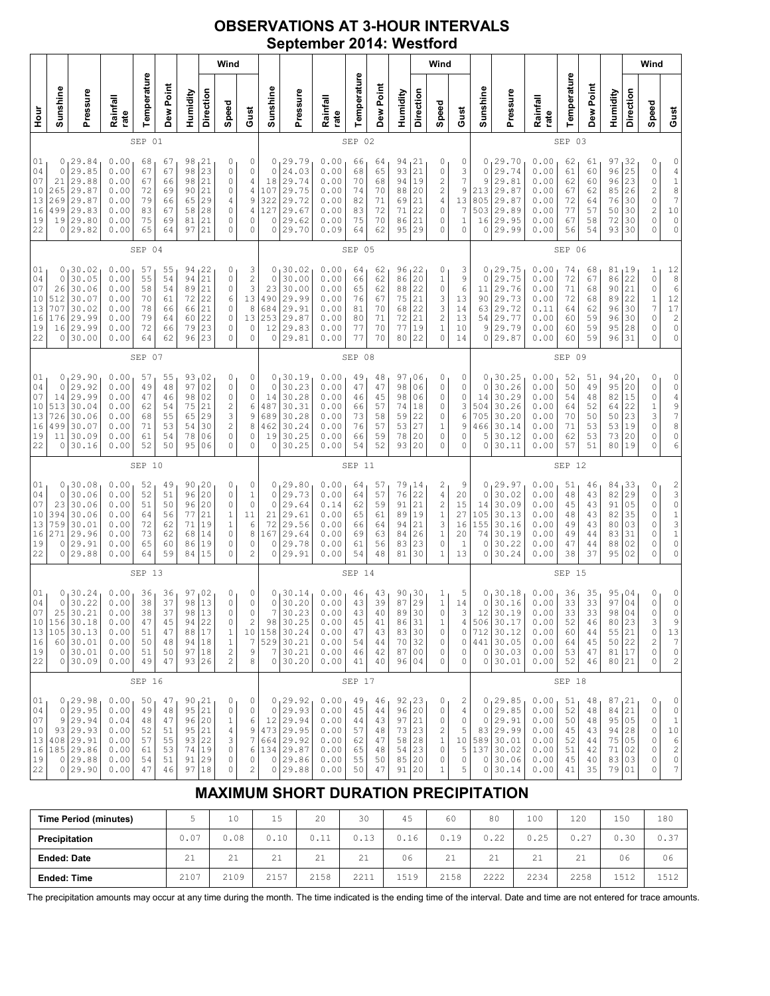## **OBSERVATIONS AT 3-HOUR INTERVALS September 2014: Westford**

| Sunshine                                                                                                         |                                                                                 |                                                              |                                              |                                              |                                                      |                                                                 | Wind                                                                                                |                                                        |                                                        |                                                                                          |                                                              |                                              |                                              |                                                  |                                                                       | Wind                                                                                             |                                                       |                                             |                                                                                           |                                                              |                                              |                                              |                                                                    |                                                | Wind                                                                                           |                                                                                                               |
|------------------------------------------------------------------------------------------------------------------|---------------------------------------------------------------------------------|--------------------------------------------------------------|----------------------------------------------|----------------------------------------------|------------------------------------------------------|-----------------------------------------------------------------|-----------------------------------------------------------------------------------------------------|--------------------------------------------------------|--------------------------------------------------------|------------------------------------------------------------------------------------------|--------------------------------------------------------------|----------------------------------------------|----------------------------------------------|--------------------------------------------------|-----------------------------------------------------------------------|--------------------------------------------------------------------------------------------------|-------------------------------------------------------|---------------------------------------------|-------------------------------------------------------------------------------------------|--------------------------------------------------------------|----------------------------------------------|----------------------------------------------|--------------------------------------------------------------------|------------------------------------------------|------------------------------------------------------------------------------------------------|---------------------------------------------------------------------------------------------------------------|
|                                                                                                                  | Pressure                                                                        | Rainfall<br>rate                                             | Temperature                                  | Dew Point                                    | Humidity                                             | Direction                                                       | Speed                                                                                               | Gust                                                   | Sunshine                                               | Pressure                                                                                 | Rainfall<br>rate                                             | Temperature                                  | Dew Point                                    | Humidity                                         | Direction                                                             | Speed                                                                                            | Gust                                                  | Sunshine                                    | Pressure                                                                                  | Rainfall<br>rate                                             | Temperature                                  | Dew Point                                    | Humidity                                                           | Direction                                      | Speed                                                                                          | Gust                                                                                                          |
| SEP 01                                                                                                           |                                                                                 |                                                              |                                              |                                              |                                                      |                                                                 |                                                                                                     |                                                        | SEP<br>02                                              |                                                                                          |                                                              |                                              |                                              |                                                  |                                                                       |                                                                                                  |                                                       | SEP 03                                      |                                                                                           |                                                              |                                              |                                              |                                                                    |                                                |                                                                                                |                                                                                                               |
| 0<br>0<br>21<br>265<br>269<br>499<br>19<br>0                                                                     | 29.84<br>29.85<br>29.88<br>29.87<br>29.87<br>29.83<br>29.80<br>29.82            | 0.00<br>0.00<br>0.00<br>0.00<br>0.00<br>0.00<br>0.00<br>0.00 | 68<br>67<br>67<br>72<br>79<br>83<br>75<br>65 | 67<br>67<br>66<br>69<br>66<br>67<br>69<br>64 | 98<br>98<br>98<br>90<br>65<br>58<br>81<br>97         | 21<br>23<br>21<br>21<br>29<br>28<br>21<br>21                    | 0<br>$\circ$<br>$\circ$<br>$\circ$<br>4<br>$\circ$<br>0<br>$\mathbf 0$                              | 0<br>0<br>4<br>$\overline{4}$<br>9<br>4<br>0<br>0      | 0<br>$\circ$<br>18<br>107<br>322<br>127<br>0<br>0      | 29.79<br>24.03<br>29.74<br>29.75<br>29.72<br>29.67<br>29.62<br>29.70                     | 0.00<br>0.00<br>0.00<br>0.00<br>0.00<br>0.00<br>0.00<br>0.09 | 66<br>68<br>70<br>74<br>82<br>83<br>75<br>64 | 64<br>65<br>68<br>70<br>71<br>72<br>70<br>62 | 94<br>93<br>94<br>88<br>69<br>71<br>86<br>95     | 21<br>21<br>19<br>20<br>21<br>22<br>21<br>29                          | 0<br>0<br>$\overline{\mathbf{c}}$<br>$\overline{\mathbf{c}}$<br>$\sqrt{4}$<br>$\circ$<br>0<br>0  | 0<br>3<br>7<br>9<br>13<br>$\overline{7}$<br>1<br>0    | 0<br>0<br>9<br>213<br>805<br>503<br>16<br>0 | 29.70<br>29.74<br>29.81<br>29.87<br>29.87<br>29.89<br>29.95<br>29.99                      | 0.00<br>0.00<br>0.00<br>0.00<br>0.00<br>0.00<br>0.00<br>0.00 | 62<br>61<br>62<br>67<br>72<br>77<br>67<br>56 | 61<br>60<br>60<br>62<br>64<br>57<br>58<br>54 | 97<br>96<br>96<br>85<br>76<br>50<br>72<br>93                       | 32 ا<br>25<br>23<br>26<br>30<br>30<br>30<br>30 | 0<br>0<br>$\mathbb O$<br>$\overline{\mathbf{c}}$<br>$\circ$<br>$\overline{c}$<br>0<br>$\Omega$ | 0<br>$\begin{array}{c} 4 \\ 1 \\ 8 \\ 7 \end{array}$<br>10<br>$\circ$<br>0                                    |
| SEP 04                                                                                                           |                                                                                 |                                                              |                                              |                                              |                                                      |                                                                 |                                                                                                     |                                                        | SEP 05                                                 |                                                                                          |                                                              |                                              |                                              |                                                  |                                                                       |                                                                                                  |                                                       | SEP 06                                      |                                                                                           |                                                              |                                              |                                              |                                                                    |                                                |                                                                                                |                                                                                                               |
| 0<br>$\mathbb O$<br>26<br>10<br>512<br>707<br>16<br>176<br>16<br>0                                               | 30.02<br>30.05<br>30.06<br>30.07<br>30.02<br>29.99<br>29.99<br>30.00            | 0.00<br>0.00<br>0.00<br>0.00<br>0.00<br>0.00<br>0.00<br>0.00 | 57<br>55<br>58<br>70<br>78<br>79<br>72<br>64 | 55<br>54<br>54<br>61<br>66<br>64<br>66<br>62 | 94<br>94<br>89<br>72<br>66<br>60<br>79<br>96         | 22<br>21<br>21<br>22<br>21<br>22<br>23<br>23                    | 0<br>$\circ$<br>$\mathbb O$<br>6<br>$\circ$<br>0<br>$\circ$<br>$\circ$                              | 3<br>$\frac{2}{3}$<br>13<br>8<br>13<br>0<br>0          | 0<br>$\circ$<br>23<br>490<br>684<br>253<br>12<br>0     | 30.02<br>30.00<br>30.00<br>29.99<br>29.91<br>29.87<br>29.83<br>29.81                     | 0.00<br>0.00<br>0.00<br>0.00<br>0.00<br>0.00<br>0.00<br>0.00 | 64<br>66<br>65<br>76<br>81<br>80<br>77<br>77 | 62<br>62<br>62<br>67<br>70<br>71<br>70<br>70 | 96<br>86<br>88<br>75<br>68<br>72<br>77<br>80     | 1 <sup>22</sup><br>20<br>22<br>21<br>22<br>21<br>19<br>22             | 0<br>$\,1$<br>0<br>3<br>$\ensuremath{\mathsf{3}}$<br>$\overline{\mathbf{c}}$<br>$\,1$<br>$\circ$ | 3<br>9<br>6<br>13<br>14<br>13<br>10<br>14             | 0<br>0<br>11<br>90<br>63<br>54<br>9<br>0    | 29.75<br>29.75<br>29.76<br>29.73<br>29.72<br>29.77<br>29.79<br>29.87                      | 0.00<br>0.00<br>0.00<br>0.00<br>0.11<br>0.00<br>0.00<br>0.00 | 74<br>72<br>71<br>72<br>64<br>60<br>60<br>60 | 68<br>67<br>68<br>68<br>62<br>59<br>59<br>59 | 81<br>86<br>90<br>89<br>96<br>96<br>95<br>96                       | 19<br>22<br>21<br>22<br>30<br>30<br>28<br>31   | 1<br>$\circ$<br>$\mathbb O$<br>$\mathbf 1$<br>$\boldsymbol{7}$<br>0<br>0<br>0                  | $\begin{array}{c} 12 \\ 8 \\ 6 \end{array}$<br>12<br>17<br>$\begin{array}{c} 2 \\ 0 \end{array}$<br>$\circ$   |
| SEP 07                                                                                                           |                                                                                 |                                                              |                                              |                                              |                                                      |                                                                 |                                                                                                     |                                                        |                                                        | SEP<br>08                                                                                |                                                              |                                              |                                              |                                                  |                                                                       |                                                                                                  |                                                       |                                             | SEP 09                                                                                    |                                                              |                                              |                                              |                                                                    |                                                |                                                                                                |                                                                                                               |
| 01<br>0<br>04<br>0<br>07<br>14<br>10<br>513<br>13<br>726<br>16<br>499<br>19<br>11<br>22<br>0                     | 29.90<br>29.92<br>29.99<br>30.04<br>30.06<br>30.07<br>30.09<br>30.16            | 0.00<br>0.00<br>0.00<br>0.00<br>0.00<br>0.00<br>0.00<br>0.00 | 57<br>49<br>47<br>62<br>68<br>71<br>61<br>52 | 55<br>48<br>46<br>54<br>55<br>53<br>54<br>50 | 93<br>97<br>98<br>75<br>65<br>54<br>78<br>95         | 02<br>02<br>02<br>21<br>29<br>30<br>06<br>06                    | 0<br>$\circ$<br>$\circ$<br>$\overline{\mathbf{c}}$<br>3<br>$\overline{c}$<br>$\circ$<br>$\mathbf 0$ | 0<br>0<br>$\circ$<br>6<br>9<br>8<br>0<br>0             | $\circ$<br>14<br>487<br>689<br>462<br>19<br>0          | 0, 30.19<br>30.23<br>30.28<br>30.31<br>30.28<br>30.24<br>30.25<br>30.25                  | 0.00<br>0.00<br>0.00<br>0.00<br>0.00<br>0.00<br>0.00<br>0.00 | 49<br>47<br>46<br>66<br>73<br>76<br>66<br>54 | 48<br>47<br>45<br>57<br>58<br>57<br>59<br>52 | 97,06<br>98<br>98<br>74<br>59<br>53<br>78<br>93  | 06<br>06<br>18<br>22<br>27<br>20<br>20                                | 0<br>0<br>0<br>0<br>0<br>$\,1$<br>0<br>0                                                         | 0<br>0<br>0<br>3<br>6<br>9<br>0<br>0                  | 0<br>0<br>14<br>504<br>705<br>466<br>5<br>0 | 130.25<br>30.26<br>30.29<br>30.26<br>30.20<br>30.14<br>30.12<br>30.11                     | 0.00<br>0.00<br>0.00<br>0.00<br>0.00<br>0.00<br>0.00<br>0.00 | 52<br>50<br>54<br>64<br>70<br>71<br>62<br>57 | 51<br>49<br>48<br>52<br>50<br>53<br>53<br>51 | 94, 20<br>95<br>82<br>64<br>50<br>53<br>73<br>80                   | 20<br>15<br>22<br>23<br>19<br>20<br>19         | 0<br>$\mathbb O$<br>$\mathbb O$<br>$\mathbf 1$<br>3<br>$\circ$<br>0<br>$\Omega$                | 0<br>$\circ$<br>$\begin{array}{c}\n4 \\ 9 \\ 7 \\ 8\n\end{array}$<br>0<br>6                                   |
|                                                                                                                  |                                                                                 |                                                              | SEP 10                                       |                                              |                                                      |                                                                 |                                                                                                     |                                                        |                                                        |                                                                                          |                                                              | SEP 11                                       |                                              |                                                  |                                                                       |                                                                                                  |                                                       |                                             |                                                                                           |                                                              | SEP 12                                       |                                              |                                                                    |                                                |                                                                                                |                                                                                                               |
| 01<br>0<br>04<br>0<br>07<br>23<br>10<br>394<br>13<br>759<br>16<br>271<br>19<br>0<br>22<br>0                      | 30.08<br>30.06<br>30.06<br>30.06<br>30.01<br>29.96<br>29.91<br>29.88            | 0.00<br>0.00<br>0.00<br>0.00<br>0.00<br>0.00<br>0.00<br>0.00 | 52<br>52<br>51<br>64<br>72<br>73<br>65<br>64 | 49<br>51<br>50<br>56<br>62<br>62<br>60<br>59 | 90<br>96<br>96<br>77<br>71<br>68<br>86<br>84         | 20<br>20<br>20<br>21<br>19<br>14<br>19<br>15                    | 0<br>$\circ$<br>$\circ$<br>1<br>$1\,$<br>$\circ$<br>0<br>0                                          | 0<br>$\mathbf{1}$<br>$\circ$<br>11<br>6<br>8<br>0<br>2 | $\circ$<br>$\circ$<br>21<br>72<br>167<br>$\circ$<br>0  | 0, 29.80<br>29.73<br>29.64<br>29.61<br>29.56<br>29.64<br>29.78<br>29.91                  | 0.00<br>0.00<br>0.14<br>0.00<br>0.00<br>0.00<br>0.00<br>0.00 | 64<br>64<br>62<br>65<br>66<br>69<br>61<br>54 | 57<br>57<br>59<br>61<br>64<br>63<br>56<br>48 | 79<br>76<br>91<br>89<br>94<br>84<br>83<br>81     | 14 ر<br>22<br>21<br>19<br>21<br>26<br>23<br>30                        | 2<br>$\sqrt{4}$<br>$\overline{c}$<br>$\,1$<br>3<br>$\,1$<br>0<br>1                               | 9<br>20<br>15<br>27<br>16<br>20<br>$\mathbf{1}$<br>13 | 0<br>0<br>14<br>105<br>155<br>74<br>0<br>0  | 29.97<br>30.02<br>30.09<br>30.13<br>30.16<br>30.19<br>30.22<br>30.24                      | 0.00<br>0.00<br>0.00<br>0.00<br>0.00<br>0.00<br>0.00<br>0.00 | 51<br>48<br>45<br>48<br>49<br>49<br>47<br>38 | 46<br>43<br>43<br>43<br>43<br>44<br>44<br>37 | 84,33<br>82<br>91<br>82<br>80<br>83<br>88<br>95 02                 | 29<br>05<br>35<br>03<br>31<br>02               | 0<br>0<br>$\mathbb O$<br>0<br>0<br>0<br>$\Omega$<br>$\Omega$                                   | $\begin{array}{c} 2 \\ 3 \\ 0 \end{array}$<br>$\begin{array}{c} 1 \\ 3 \\ 1 \end{array}$<br>$\circ$<br>0      |
|                                                                                                                  |                                                                                 |                                                              | SEP 13                                       |                                              |                                                      |                                                                 |                                                                                                     |                                                        |                                                        |                                                                                          |                                                              | SEP 14                                       |                                              |                                                  |                                                                       |                                                                                                  |                                                       |                                             |                                                                                           |                                                              | SEP 15                                       |                                              |                                                                    |                                                |                                                                                                |                                                                                                               |
| 01<br>0<br>$\mathbb O$<br>04<br>07<br>25<br>10<br>156<br>13<br>105<br>16<br>60<br>19<br>$\circ$<br>22<br>$\circ$ | 30.24<br>30.22<br>30.21<br>30.18<br>30.13<br>30.01<br>30.01<br>30.09            | 0.00<br>0.00<br>0.00<br>0.00<br>0.00<br>0.00<br>0.00<br>0.00 | 36<br>38<br>38<br>47<br>51<br>50<br>51<br>49 | 36<br>37<br>37<br>45<br>47<br>48<br>50<br>47 | 97<br>98<br>98<br>94<br>88<br>94<br>97 18<br>93   26 | $\begin{array}{c} 02 \\ 13 \end{array}$<br>13<br>22<br>17<br>18 | 0<br>$\circ$<br>$\mathbb O$<br>0<br>$\mathbf 1$<br>$\mathbf 1$<br>$\sqrt{2}$<br>$\mathbf{2}$        | 0<br>$\mathbb O$<br>0<br>2<br>10<br>7<br>9<br>$\,8\,$  | $\mathbb O$<br>$\overline{7}$<br>98<br>158<br>529<br>7 | 0, 30.14<br>30.20<br>30.23<br>30.25<br>30.24<br>30.21<br>30.21<br>0 30.20                | 0.00<br>0.00<br>0.00<br>0.00<br>0.00<br>0.00<br>0.00<br>0.00 | 46<br>43<br>43<br>45<br>47<br>54<br>46<br>41 | 43<br>39<br>40<br>41<br>43<br>44<br>42<br>40 | 90<br>87<br>89<br>86<br>83<br>70<br>87<br>96 04  | $\begin{array}{c} 30 \\ 29 \end{array}$<br>30<br>31<br>30<br>32<br>00 | $\frac{1}{1}$<br>$\mathbb O$<br>1<br>0<br>0<br>0<br>0                                            | 5<br>14<br>3<br>4<br>0<br>0<br>0<br>0                 | 0<br>$\circ$<br>712                         | 30.18<br>30.16<br>12 30.19<br>506 30.17<br>30.12<br>441 30.05<br>0 30.03<br>0 30.01       | 0.00<br>0.00<br>0.00<br>0.00<br>0.00<br>0.00<br>0.00<br>0.00 | 36<br>33<br>33<br>52<br>60<br>64<br>53<br>52 | 35<br>33<br>33<br>46<br>44<br>45<br>47<br>46 | 95,04<br>97<br>98<br>80 <br>55 21<br>50 22<br>81 17<br>80 21       | 04<br>04<br>23                                 | 0<br>$\mathbb O$<br>0<br>3<br>0<br>$\overline{\mathbf{c}}$<br>0<br>0                           | 0<br>$\circ$<br>0<br>9<br>$13$<br>$\boldsymbol{7}$<br>$\mathbb O$<br>2                                        |
|                                                                                                                  |                                                                                 |                                                              | SEP 16                                       |                                              |                                                      |                                                                 |                                                                                                     |                                                        |                                                        |                                                                                          |                                                              | SEP 17                                       |                                              |                                                  |                                                                       |                                                                                                  |                                                       |                                             |                                                                                           |                                                              | SEP 18                                       |                                              |                                                                    |                                                |                                                                                                |                                                                                                               |
| 01<br>04<br>0<br>07<br>9<br>10<br>93<br>13<br>16<br>19<br>$\circ$<br>22<br>0                                     | 0, 29.98<br>29.95<br>29.94<br>29.93<br>408 29.91<br>185 29.86<br>29.88<br>29.90 | 0.00<br>0.00<br>0.04<br>0.00<br>0.00<br>0.00<br>0.00<br>0.00 | 50<br>49<br>48<br>52<br>57<br>61<br>54<br>47 | 47<br>48<br>47<br>51<br>55<br>53<br>51<br>46 | 90, 21<br>95<br>96<br>95<br>93<br>74<br>91<br>97     | 21<br>20<br>21<br>22<br>19<br>29<br>18                          | 0<br>0<br>$1\,$<br>4<br>3<br>0<br>0<br>$\mathbf 0$                                                  | 0<br>0<br>6<br>9<br>7<br>6<br>0<br>$\overline{c}$      | $\circ$<br>0                                           | 0, 29.92<br>29.93<br>12 29.94<br>473 29.95<br>664 29.92<br>134 29.87<br>0 29.86<br>29.88 | 0.00<br>0.00<br>0.00<br>0.00<br>0.00<br>0.00<br>0.00<br>0.00 | 49<br>45<br>44<br>57<br>62<br>65<br>55<br>50 | 46<br>44<br>43<br>48<br>47<br>48<br>50<br>47 | 92, 23<br>96<br>97<br>73<br>58<br>54<br>85<br>91 | 20<br>21<br> 23<br>28<br>23<br>20<br>20                               | 0<br>0<br>$\circ$<br>$\overline{\mathbf{c}}$<br>$\,1$<br>$\mathbb O$<br>0<br>1                   | 2<br>4<br>$\circ$<br>5<br>5<br>0<br>5                 | 0<br>0                                      | 0, 29.85<br>29.85<br>29.91<br>83 29.99<br>10 589 30.01<br>137 30.02<br>0 30.06<br>0 30.14 | 0.00<br>0.00<br>0.00<br>0.00<br>0.00<br>0.00<br>0.00<br>0.00 | 51<br>52<br>50<br>45<br>52<br>51<br>45<br>41 | 48<br>48<br>48<br>43<br>44<br>42<br>40<br>35 | 87,21<br>84 21<br>95 05<br>94 28<br>75 <br>71 02<br>83 03<br>79 01 | 05                                             | 0<br>0<br>0<br>0<br>0<br>0<br>0<br>0                                                           | 0<br>$\mathbb O$<br>$1\,$<br>$1\,0$<br>$\begin{array}{c} 6 \\ 2 \end{array}$<br>$\mathbb O$<br>$\overline{7}$ |

# **MAXIMUM SHORT DURATION PRECIPITATION**

| <b>Time Period (minutes)</b> |      | 10   | 15   | 20          | 30   | 45   | 60   | 80   | 100  | 120  | 150  | 180  |
|------------------------------|------|------|------|-------------|------|------|------|------|------|------|------|------|
| Precipitation                | 0.07 | 0.08 | 0.10 | 0.11        | 0.13 | 0.16 | 0.19 | 0.22 | 0.25 | 0.27 | 0.30 | 0.37 |
| <b>Ended: Date</b>           | 21   | 21   | 21   | $\bigcap$ 1 | 21   | 06   | 21   | 21   | 21   | 21   | 06   | 06   |
| <b>Ended: Time</b>           | 2107 | 2109 | 2157 | 2158        | 2211 | 1519 | 2158 | 2222 | 2234 | 2258 | 1512 | 1512 |

The precipitation amounts may occur at any time during the month. The time indicated is the ending time of the interval. Date and time are not entered for trace amounts.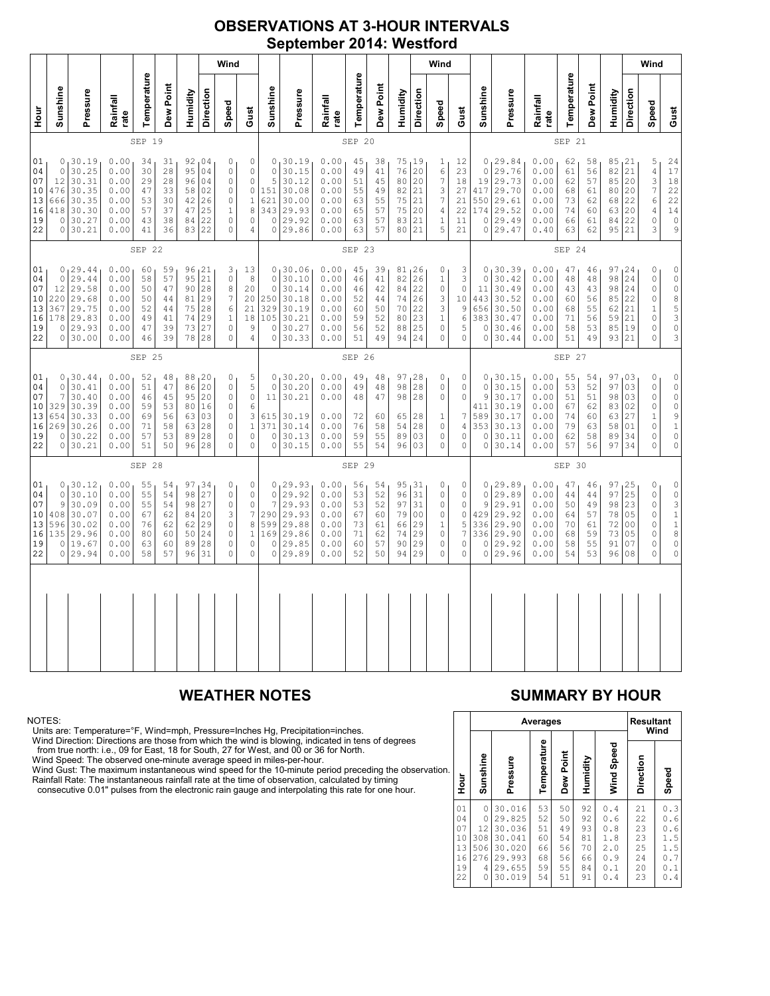### **OBSERVATIONS AT 3-HOUR INTERVALS September 2014: Westford**

|                                              | Wind                                        |                                                                           |                                                              |                                              |                                              |                                  |                                                                 |                                                                                              |                                                                                                   |                                                               |                                                                             |                                                              |                                              |                                              | Wind                                         |                                                           |                                                                                     |                                                                       |                                     |                                                                                         |                                                              |                                              |                                              | Wind                                                |                                                          |                                                                                          |                                                                                                   |
|----------------------------------------------|---------------------------------------------|---------------------------------------------------------------------------|--------------------------------------------------------------|----------------------------------------------|----------------------------------------------|----------------------------------|-----------------------------------------------------------------|----------------------------------------------------------------------------------------------|---------------------------------------------------------------------------------------------------|---------------------------------------------------------------|-----------------------------------------------------------------------------|--------------------------------------------------------------|----------------------------------------------|----------------------------------------------|----------------------------------------------|-----------------------------------------------------------|-------------------------------------------------------------------------------------|-----------------------------------------------------------------------|-------------------------------------|-----------------------------------------------------------------------------------------|--------------------------------------------------------------|----------------------------------------------|----------------------------------------------|-----------------------------------------------------|----------------------------------------------------------|------------------------------------------------------------------------------------------|---------------------------------------------------------------------------------------------------|
| Hour<br>P                                    | Sunshine                                    | Pressure                                                                  | Rainfall<br>rate                                             | Temperature                                  | Dew Point                                    | Humidity                         | Direction                                                       | Speed                                                                                        | Gust                                                                                              | Sunshine                                                      | Pressure                                                                    | Rainfall<br>rate                                             | Temperature                                  | Dew Point                                    | Humidity                                     | Direction                                                 | Speed                                                                               | Gust                                                                  | Sunshine                            | Pressure                                                                                | Rainfall<br>rate                                             | Temperature                                  | Dew Point                                    | Humidity                                            | Direction                                                | Speed                                                                                    | Gust                                                                                              |
|                                              | SEP 19                                      |                                                                           |                                                              |                                              |                                              |                                  |                                                                 |                                                                                              |                                                                                                   | SEP 20                                                        |                                                                             |                                                              |                                              |                                              |                                              | SEP 21                                                    |                                                                                     |                                                                       |                                     |                                                                                         |                                                              |                                              |                                              |                                                     |                                                          |                                                                                          |                                                                                                   |
| 01<br>04<br>07<br>10<br>13<br>16<br>19<br>22 | $\circ$<br>12<br>476<br>666<br>418<br>0     | 0, 30.19<br>30.25<br>30.31<br>30.35<br>30.35<br>30.30<br>30.27<br>0 30.21 | 0.00<br>0.00<br>0.00<br>0.00<br>0.00<br>0.00<br>0.00<br>0.00 | 34<br>30<br>29<br>47<br>53<br>57<br>43<br>41 | 31<br>28<br>28<br>33<br>30<br>37<br>38<br>36 | 95<br>96<br>42<br>47             | 92,04<br>04<br>04<br>58 02<br>26<br>25<br>84 22<br>83 22        | 0<br>$\mathbf 0$<br>$\mathbf 0$<br>$\circ$<br>$\circ$<br>$\mathbf{1}$<br>$\circ$<br>$\circ$  | 0<br>0<br>$\mathsf{O}\xspace$<br>$\mathbb O$<br>$\mathbf 1$<br>8<br>$\mathbf 0$<br>$\overline{4}$ | $\mathbf 0$<br>5<br>151<br>621<br>343<br>$\circ$<br>$\circ$   | 0, 30.19<br>30.15<br>30.12<br>30.08<br>30.00<br>29.93<br>29.92<br>29.86     | 0.00<br>0.00<br>0.00<br>0.00<br>0.00<br>0.00<br>0.00<br>0.00 | 45<br>49<br>51<br>55<br>63<br>65<br>63<br>63 | 38<br>41<br>45<br>49<br>55<br>57<br>57<br>57 | 76<br>80<br>82<br>75<br>75<br>83<br>80       | 75, 19<br>20<br>20<br>21<br>21<br>20<br>21<br>21          | 1<br>6<br>7<br>3<br>7<br>4<br>$1\,$<br>5                                            | 12<br>23<br>18<br>27<br>21<br>22<br>11<br>21                          | $\circ$<br>19                       | 0, 29.84<br>29.76<br>29.73<br>417 29.70<br>550 29.61<br>174 29.52<br>0 29.49<br>0 29.47 | 0.00<br>0.00<br>0.00<br>0.00<br>0.00<br>0.00<br>0.00<br>0.40 | 62<br>61<br>62<br>68<br>73<br>74<br>66<br>63 | 58<br>56<br>57<br>61<br>62<br>60<br>61<br>62 | 85, 21<br>82<br>85<br>80<br>68<br>63<br>84<br>95 21 | 21<br>20<br>20<br>22<br>20<br>22                         | 5<br>$\sqrt{4}$<br>3<br>$\overline{7}$<br>6<br>4<br>$\circ$<br>3                         | 24<br>17<br>$1\,8$<br>22<br>$\begin{array}{c} 22 \\ 14 \end{array}$<br>$\mathbb O$<br>9           |
|                                              | SEP 22                                      |                                                                           |                                                              |                                              |                                              |                                  | SEP 23                                                          |                                                                                              |                                                                                                   |                                                               |                                                                             |                                                              |                                              |                                              |                                              |                                                           | SEP 24                                                                              |                                                                       |                                     |                                                                                         |                                                              |                                              |                                              |                                                     |                                                          |                                                                                          |                                                                                                   |
| 01<br>04<br>07<br>10<br>13<br>16<br>19<br>22 | $\circ$<br>12<br>220<br>367<br>178<br>0     | 0, 29.44<br>29.44<br>29.58<br>29.68<br>29.75<br>29.83<br>29.93<br>0 30.00 | 0.00<br>0.00<br>0.00<br>0.00<br>0.00<br>0.00<br>0.00<br>0.00 | 60<br>58<br>50<br>50<br>52<br>49<br>47<br>46 | 59<br>57<br>47<br>44<br>44<br>41<br>39<br>39 | 90<br>75<br>74<br>73<br>78       | 96, 21<br>95 21<br>28<br>81 29<br>28<br>29<br>27<br>28          | 3<br>$\mathbf{0}$<br>$\,8\,$<br>$\boldsymbol{7}$<br>6<br>$\mathbf{1}$<br>$\circ$<br>$\Omega$ | 13<br>$\,$ 8 $\,$<br>20<br>20<br>21<br>18<br>9<br>4                                               | $\circ$<br>$\mathbf 0$<br>250<br>329<br>105<br>0<br>$\Omega$  | 0, 30.06<br>30.10<br>30.14<br>30.18<br>30.19<br>30.21<br>30.27<br>30.33     | 0.00<br>0.00<br>0.00<br>0.00<br>0.00<br>0.00<br>0.00<br>0.00 | 45<br>46<br>46<br>52<br>60<br>59<br>56<br>51 | 39<br>41<br>42<br>44<br>50<br>52<br>52<br>49 | 82<br>84<br>74<br>70<br>80<br>88<br>94       | 81,26<br>26<br>22<br>26<br>22<br>23<br>25<br>24           | 0<br>$\,1$<br>0<br>3<br>3<br>$\,1\,$<br>$\mathbb O$<br>$\Omega$                     | 3<br>3<br>$\circ$<br>10<br>$\mathsf 9$<br>$\epsilon$<br>5<br>$\Omega$ | $\circ$<br>$1\,1$<br>656<br>$\circ$ | 0, 30.39<br>30.42<br>30.49<br>443 30.52<br>30.50<br>383 30.47<br>30.46<br>0 30.44       | 0.00<br>0.00<br>0.00<br>0.00<br>0.00<br>0.00<br>0.00<br>0.00 | 47<br>48<br>43<br>60<br>68<br>71<br>58<br>51 | 46<br>48<br>43<br>56<br>55<br>56<br>53<br>49 | 97, 24<br>98<br>98<br>85<br>62<br>59<br>85 19<br>93 | 24<br>24<br>22<br>21<br>21<br>21                         | 0<br>$\circ$<br>$\mathbb O$<br>0<br>$\mathbf{1}$<br>$\mathsf{O}\xspace$<br>0<br>$\Omega$ | 3                                                                                                 |
|                                              | SEP 25                                      |                                                                           |                                                              |                                              |                                              |                                  |                                                                 |                                                                                              | SEP 26                                                                                            |                                                               |                                                                             |                                                              |                                              |                                              |                                              |                                                           |                                                                                     | SEP 27                                                                |                                     |                                                                                         |                                                              |                                              |                                              |                                                     |                                                          |                                                                                          |                                                                                                   |
| 01<br>04<br>07<br>10<br>13<br>16<br>19<br>22 | 0<br>7<br>329<br>654<br>269<br>0<br>$\circ$ | 0, 30.44<br>30.41<br>30.40<br>30.39<br>30.33<br>30.26<br>30.22<br>30.21   | 0.00<br>0.00<br>0.00<br>0.00<br>0.00<br>0.00<br>0.00<br>0.00 | 52<br>51<br>46<br>59<br>69<br>71<br>57<br>51 | 48<br>47<br>45<br>53<br>56<br>58<br>53<br>50 | 63<br>89                         | 88, 20<br>86 20<br>95 20<br>80 16<br>63 03<br>28<br>28<br>96 28 | 0<br>$\circ$<br>$\mathbb O$<br>$\circ$<br>$\mathbb O$<br>$\mathbb O$<br>0<br>$\overline{0}$  | 5<br>5<br>$\mathbb O$<br>$\epsilon$<br>3<br>$\,1$<br>$\mathsf{O}\xspace$<br>0                     | $\circ$<br>$1\,1$<br>615<br>371<br>$\mathbb O$<br>$\mathbf 0$ | 0, 30.20<br>30.20<br>30.21<br>30.19<br>30.14<br>30.13<br>30.15              | 0.00<br>0.00<br>0.00<br>0.00<br>0.00<br>0.00<br>0.00         | 49<br>49<br>48<br>72<br>76<br>59<br>55       | 48<br>48<br>47<br>60<br>58<br>55<br>54       | 97<br>98<br>98<br>65<br>54<br>89<br>96       | 128<br> 28<br>28<br>28<br>28<br>03<br>03                  | 0<br>$\mathsf{O}\xspace$<br>$\circ$<br>1<br>$\mathbb O$<br>$\mathsf{O}\xspace$<br>0 | 0<br>0<br>$\mathbb O$<br>$\overline{7}$<br>4<br>$\circ$<br>$\circ$    | $\circ$<br>9<br>411<br>589          | 0, 30.15<br>30.15<br>30.17<br>30.19<br>30.17<br>353 30.13<br>0 30.11<br>0 30.14         | 0.00<br>0.00<br>0.00<br>0.00<br>0.00<br>0.00<br>0.00<br>0.00 | 55<br>53<br>51<br>67<br>74<br>79<br>62<br>57 | 54<br>52<br>51<br>62<br>60<br>63<br>58<br>56 | 97<br>97<br>98<br>83<br>63<br>58<br>89<br>97 34     | 103<br>03<br>03<br>02<br>27<br>01<br>34                  | $\mathbb O$<br>$\mathbb O$<br>$\circ$<br>0<br>$\,1\,$<br>$\circ$<br>0<br>$\circ$         | $\circ$<br>$\circ$<br>$\circ$<br>$\begin{array}{c} 0 \\ 9 \\ 1 \end{array}$<br>$\circ$<br>$\circ$ |
|                                              |                                             |                                                                           |                                                              | SEP 28                                       |                                              |                                  |                                                                 |                                                                                              |                                                                                                   |                                                               |                                                                             |                                                              | SEP 29                                       |                                              |                                              |                                                           |                                                                                     |                                                                       |                                     |                                                                                         |                                                              | SEP 30                                       |                                              |                                                     |                                                          |                                                                                          |                                                                                                   |
| 01<br>04<br>07<br>10<br>13<br>16<br>19<br>22 | $\circ$<br>9<br>408<br>596<br>135<br>0      | 0, 30.12<br>30.10<br>30.09<br>30.07<br>30.02<br>29.96<br>19.67<br>0 29.94 | 0.00<br>0.00<br>0.00<br>0.00<br>0.00<br>0.00<br>0.00<br>0.00 | 55<br>55<br>55<br>67<br>76<br>80<br>63<br>58 | 54<br>54<br>54<br>62<br>62<br>60<br>60<br>57 | 97<br>84<br>62<br>50<br>89<br>96 | 134<br>$98 \mid 27$<br>98 27<br>20<br>29<br>24<br>28<br>31      | 0<br>$\mathbb O$<br>$\circ$<br>3<br>0<br>$\circ$<br>$\circ$<br>$\Omega$                      | 0<br>$\mathbb O$<br>$\mathsf{O}\xspace$<br>$\boldsymbol{7}$<br>8<br>$\mathbf 1$<br>0<br>0         | $\circ$<br>7<br>599<br>169<br>$\circ$<br>$\circ$              | 0, 29.93<br>29.92<br>29.93<br>290 29.93<br>29.88<br>29.86<br>29.85<br>29.89 | 0.00<br>0.00<br>0.00<br>0.00<br>0.00<br>0.00<br>0.00<br>0.00 | 56<br>53<br>53<br>67<br>73<br>71<br>60<br>52 | 54<br>52<br>52<br>60<br>61<br>62<br>57<br>50 | 95<br>96<br>97<br>79<br>66<br>74<br>90<br>94 | 131<br>31<br>31<br>0 <sub>0</sub><br>29<br>29<br>29<br>29 | 0<br>$\mathbb O$<br>0<br>$\mathsf{O}\xspace$<br>1<br>0<br>$\circ$<br>0              | 0<br>$\mathbb O$<br>$\circ$<br>0<br>5<br>7<br>0<br>0                  | $\Omega$<br>9<br>336                | 0, 29.89<br>29.89<br>29.91<br>429 29.92<br>336 29.90<br>29.90<br>0 29.92<br>0 29.96     | 0.00<br>0.00<br>0.00<br>0.00<br>0.00<br>0.00<br>0.00<br>0.00 | 47<br>44<br>50<br>64<br>70<br>68<br>58<br>54 | 46<br>44<br>49<br>57<br>61<br>59<br>55<br>53 | 97<br>97<br>98<br>78<br>72<br>73<br>91<br>96        | 25<br>25<br>23<br>05<br>0 <sub>0</sub><br>05<br>07<br>08 | 0<br>$\mathbb O$<br>$\mathsf{O}\xspace$<br>$\circ$<br>0<br>0<br>$\circ$<br>$\circ$       | 00311<br>8<br>$\begin{matrix} 0 \\ 0 \end{matrix}$                                                |
|                                              |                                             |                                                                           |                                                              |                                              |                                              |                                  |                                                                 |                                                                                              |                                                                                                   |                                                               |                                                                             |                                                              |                                              |                                              |                                              |                                                           |                                                                                     |                                                                       |                                     |                                                                                         |                                                              |                                              |                                              |                                                     |                                                          |                                                                                          |                                                                                                   |

### NOTES:

Units are: Temperature=°F, Wind=mph, Pressure=Inches Hg, Precipitation=inches.

Wind Direction: Directions are those from which the wind is blowing, indicated in tens of degrees from true north: i.e., 09 for East, 18 for South, 27 for West, and 00 or 36 for North.

Wind Speed: The observed one-minute average speed in miles-per-hour.

Wind Gust: The maximum instantaneous wind speed for the 10-minute period preceding the observation Rainfall Rate: The instantaneous rainfall rate at the time of observation, calculated by timing

consecutive 0.01" pulses from the electronic rain gauge and interpolating this rate for one hour.

### **WEATHER NOTES SUMMARY BY HOUR**

|    |                                              |                                             | Averages                                                                     | <b>Resultant</b><br>Wind                     |                                              |                                              |                                                                 |                                              |                                                                           |
|----|----------------------------------------------|---------------------------------------------|------------------------------------------------------------------------------|----------------------------------------------|----------------------------------------------|----------------------------------------------|-----------------------------------------------------------------|----------------------------------------------|---------------------------------------------------------------------------|
| ì. | Hour                                         | Sunshine                                    | Pressure                                                                     | Temperature                                  | Dew Point                                    | Humidity                                     | Wind Speed                                                      | Direction                                    | Speed                                                                     |
|    | 01<br>04<br>07<br>10<br>13<br>16<br>19<br>22 | 0<br>0<br>12<br>308<br>506<br>276<br>4<br>0 | 30.016<br>29.825<br>30.036<br>30.041<br>30.020<br>29.993<br>29.655<br>30.019 | 53<br>52<br>51<br>60<br>66<br>68<br>59<br>54 | 50<br>50<br>49<br>54<br>56<br>56<br>55<br>51 | 92<br>92<br>93<br>81<br>70<br>66<br>84<br>91 | 0.4<br>0.6<br>0.8<br>1.8<br>2.0<br>0.9<br>$\cdot$ 1<br>0<br>0.4 | 21<br>22<br>23<br>23<br>25<br>24<br>20<br>23 | 0.3<br>0<br>. 6<br>. 6<br>0<br>1.5<br>1.5<br>0.7<br>$\cdot$ 1<br>0<br>0.4 |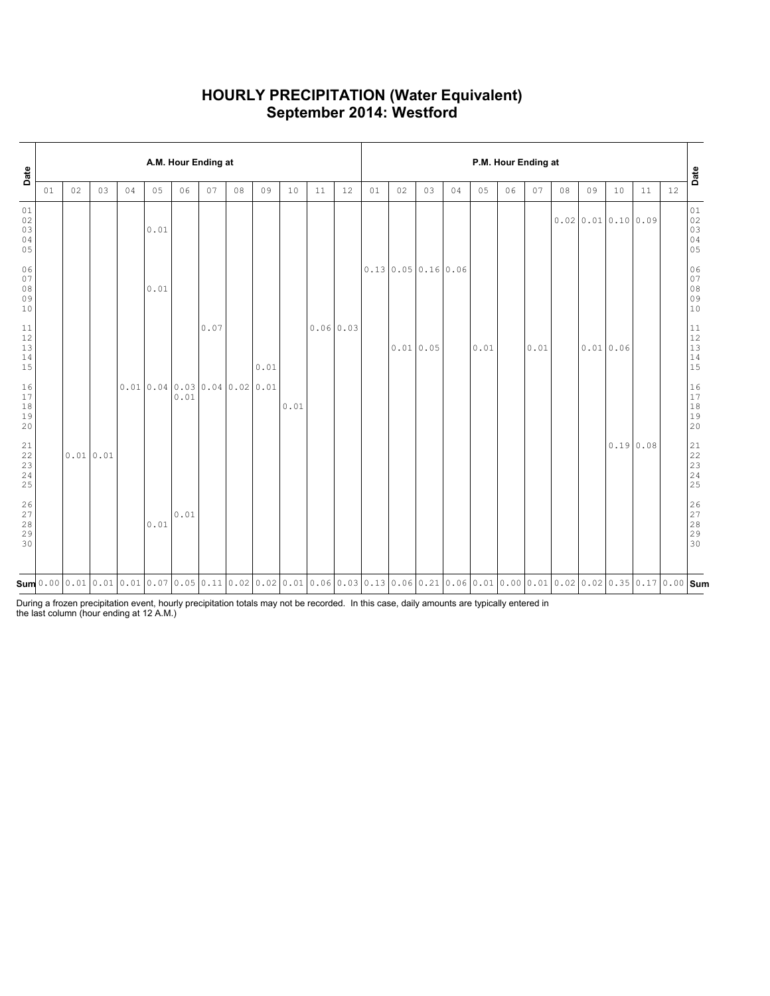### **HOURLY PRECIPITATION (Water Equivalent) September 2014: Westford**

| Date                                                              |    | A.M. Hour Ending at |    |    |                                                                                                                                                                                                                                                                                                                           |      |      |    |      |      |    |                  |    | P.M. Hour Ending at |                                      |    |      |    |      |    |                                      |          |    |    |                                                           |  |
|-------------------------------------------------------------------|----|---------------------|----|----|---------------------------------------------------------------------------------------------------------------------------------------------------------------------------------------------------------------------------------------------------------------------------------------------------------------------------|------|------|----|------|------|----|------------------|----|---------------------|--------------------------------------|----|------|----|------|----|--------------------------------------|----------|----|----|-----------------------------------------------------------|--|
|                                                                   | 01 | 02                  | 03 | 04 | 05                                                                                                                                                                                                                                                                                                                        | 06   | 07   | 08 | 09   | 10   | 11 | 12               | 01 | 02                  | 03                                   | 04 | 05   | 06 | 07   | 08 | 09                                   | 10       | 11 | 12 | Date                                                      |  |
| 01<br>$02\,$<br>03<br>04<br>05                                    |    |                     |    |    | 0.01                                                                                                                                                                                                                                                                                                                      |      |      |    |      |      |    |                  |    |                     |                                      |    |      |    |      |    | $0.02 \mid 0.01 \mid 0.10 \mid 0.09$ |          |    |    | 01<br>$02$<br>03<br>04<br>05                              |  |
| 06<br>07<br>$0\,8$<br>09<br>10                                    |    |                     |    |    | 0.01                                                                                                                                                                                                                                                                                                                      |      |      |    |      |      |    |                  |    |                     | $0.13 \mid 0.05 \mid 0.16 \mid 0.06$ |    |      |    |      |    |                                      |          |    |    | 06<br>07<br>08<br>09<br>10                                |  |
| $11\,$<br>$\begin{array}{c} 12 \\ 13 \end{array}$<br>$14$<br>15   |    |                     |    |    |                                                                                                                                                                                                                                                                                                                           |      | 0.07 |    | 0.01 |      |    | $0.06 \mid 0.03$ |    | 0.01 0.05           |                                      |    | 0.01 |    | 0.01 |    | 0.010.06                             |          |    |    | $11\,$<br>12<br>13<br>$14$<br>15                          |  |
| 16<br>17<br>18<br>19<br>20                                        |    |                     |    |    | $0.01 \mid 0.04 \mid 0.03 \mid 0.04 \mid 0.02 \mid 0.01$                                                                                                                                                                                                                                                                  | 0.01 |      |    |      | 0.01 |    |                  |    |                     |                                      |    |      |    |      |    |                                      |          |    |    | 16<br>$\frac{17}{18}$<br>20                               |  |
| $\begin{smallmatrix} 21\\ 22 \end{smallmatrix}$<br>23<br>24<br>25 |    | 0.01 0.01           |    |    |                                                                                                                                                                                                                                                                                                                           |      |      |    |      |      |    |                  |    |                     |                                      |    |      |    |      |    |                                      | 0.190.08 |    |    | $\begin{array}{c} 21 \\ 22 \end{array}$<br>23<br>24<br>25 |  |
| 26<br>$\begin{array}{c} 27 \\ 28 \end{array}$<br>29<br>30         |    |                     |    |    | 0.01                                                                                                                                                                                                                                                                                                                      | 0.01 |      |    |      |      |    |                  |    |                     |                                      |    |      |    |      |    |                                      |          |    |    | 26<br>$\frac{27}{28}$<br>28<br>29<br>30                   |  |
|                                                                   |    |                     |    |    | $\mathsf{Sum}$ 0.00 $\mid$ 0.01 $\mid$ 0.01 $\mid$ 0.01 $\mid$ 0.07 $\mid$ 0.05 $\mid$ 0.11 $\mid$ 0.02 $\mid$ 0.02 $\mid$ 0.01 $\mid$ 0.06 $\mid$ 0.03 $\mid$ 0.13 $\mid$ 0.06 $\mid$ 0.21 $\mid$ 0.06 $\mid$ 0.01 $\mid$ 0.00 $\mid$ 0.01 $\mid$ 0.02 $\mid$ 0.02 $\mid$ 0.03 $\mid$ 0.17 $\mid$ 0.00 $\mid$ <b>Sum</b> |      |      |    |      |      |    |                  |    |                     |                                      |    |      |    |      |    |                                      |          |    |    |                                                           |  |

During a frozen precipitation event, hourly precipitation totals may not be recorded. In this case, daily amounts are typically entered in the last column (hour ending at 12 A.M.)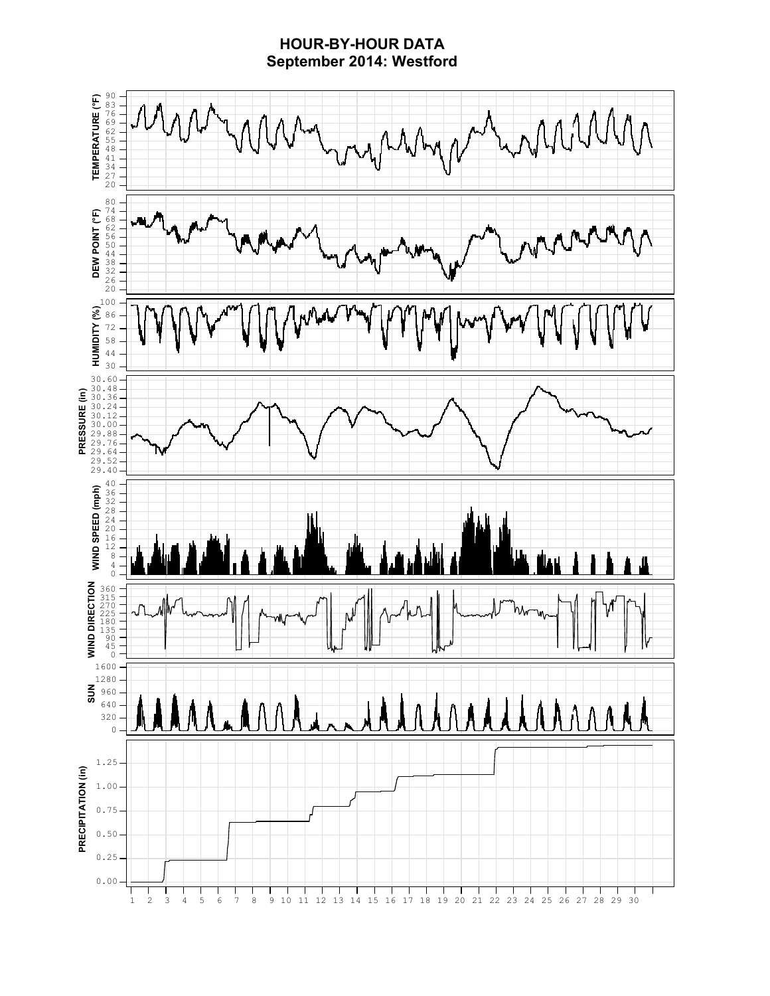### **HOUR-BY-HOUR DATA September 2014: Westford**